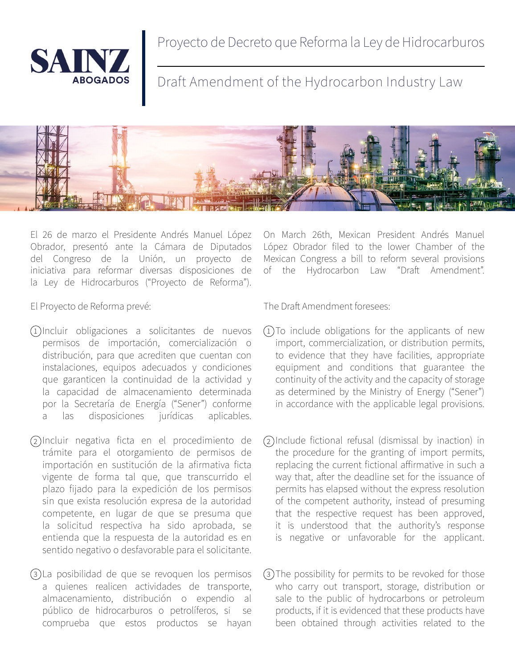

Proyecto de Decreto que Reforma la Ley de Hidrocarburos

Draft Amendment of the Hydrocarbon Industry Law



El 26 de marzo el Presidente Andrés Manuel López Obrador, presentó ante la Cámara de Diputados del Congreso de la Unión, un proyecto de iniciativa para reformar diversas disposiciones de la Ley de Hidrocarburos ("Proyecto de Reforma").

El Proyecto de Reforma prevé:

- 1)Incluir obligaciones a solicitantes de nuevos (1 permisos de importación, comercialización o distribución, para que acrediten que cuentan con instalaciones, equipos adecuados y condiciones que garanticen la continuidad de la actividad y la capacidad de almacenamiento determinada por la Secretaría de Energía ("Sener") conforme las disposiciones jurídicas aplicables.
- Incluir negativa ficta en el procedimiento de 2 2 trámite para el otorgamiento de permisos de importación en sustitución de la afirmativa ficta vigente de forma tal que, que transcurrido el plazo fijado para la expedición de los permisos sin que exista resolución expresa de la autoridad competente, en lugar de que se presuma que la solicitud respectiva ha sido aprobada, se entienda que la respuesta de la autoridad es en sentido negativo o desfavorable para el solicitante.
- 3)La posibilidad de que se revoquen los permisos (3 a quienes realicen actividades de transporte, almacenamiento, distribución o expendio al público de hidrocarburos o petrolíferos, si se comprueba que estos productos se hayan

On March 26th, Mexican President Andrés Manuel López Obrador filed to the lower Chamber of the Mexican Congress a bill to reform several provisions of the Hydrocarbon Law "Draft Amendment".

The Draft Amendment foresees:

- $(1)$ To include obligations for the applicants of new import, commercialization, or distribution permits, to evidence that they have facilities, appropriate equipment and conditions that guarantee the continuity of the activity and the capacity of storage as determined by the Ministry of Energy ("Sener") in accordance with the applicable legal provisions.
- Include fictional refusal (dismissal by inaction) in the procedure for the granting of import permits, replacing the current fictional affirmative in such a way that, after the deadline set for the issuance of permits has elapsed without the express resolution of the competent authority, instead of presuming that the respective request has been approved, it is understood that the authority's response is negative or unfavorable for the applicant.
- The possibility for permits to be revoked for those who carry out transport, storage, distribution or sale to the public of hydrocarbons or petroleum products, if it is evidenced that these products have been obtained through activities related to the